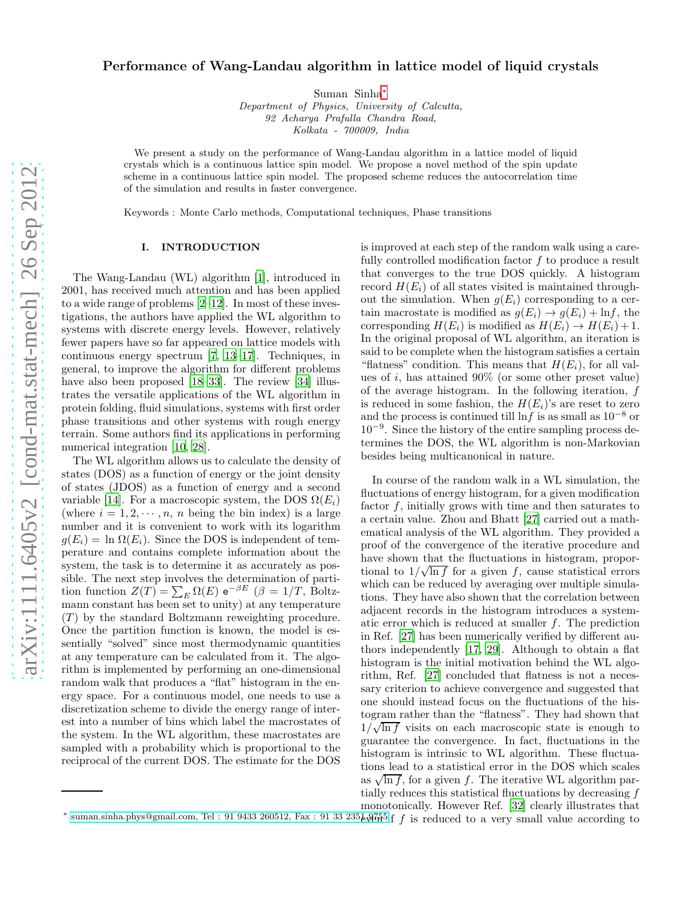# Performance of Wang-Landau algorithm in lattice model of liquid crystals

Suman Sinha[∗](#page-0-0)

Department of Physics, University of Calcutta, 92 Acharya Prafulla Chandra Road, Kolkata - 700009, India

We present a study on the performance of Wang-Landau algorithm in a lattice model of liquid crystals which is a continuous lattice spin model. We propose a novel method of the spin update scheme in a continuous lattice spin model. The proposed scheme reduces the autocorrelation time of the simulation and results in faster convergence.

Keywords : Monte Carlo methods, Computational techniques, Phase transitions

# I. INTRODUCTION

The Wang-Landau (WL) algorithm [\[1](#page-6-0)], introduced in 2001, has received much attention and has been applied to a wide range of problems [\[2](#page-6-1)[–12](#page-6-2)]. In most of these investigations, the authors have applied the WL algorithm to systems with discrete energy levels. However, relatively fewer papers have so far appeared on lattice models with continuous energy spectrum [\[7](#page-6-3), [13](#page-6-4)[–17](#page-7-0)]. Techniques, in general, to improve the algorithm for different problems have also been proposed [\[18](#page-7-1)[–33](#page-7-2)]. The review [\[34](#page-7-3)] illustrates the versatile applications of the WL algorithm in protein folding, fluid simulations, systems with first order phase transitions and other systems with rough energy terrain. Some authors find its applications in performing numerical integration [\[10](#page-6-5), [28](#page-7-4)].

The WL algorithm allows us to calculate the density of states (DOS) as a function of energy or the joint density of states (JDOS) as a function of energy and a second variable [\[14](#page-6-6)]. For a macroscopic system, the DOS  $\Omega(E_i)$ (where  $i = 1, 2, \dots, n$ , n being the bin index) is a large number and it is convenient to work with its logarithm  $g(E_i) = \ln \Omega(E_i)$ . Since the DOS is independent of temperature and contains complete information about the system, the task is to determine it as accurately as possible. The next step involves the determination of partition function  $Z(T) = \sum_{E} \Omega(E) e^{-\beta E}$  ( $\beta = 1/T$ , Boltzmann constant has been set to unity) at any temperature  $(T)$  by the standard Boltzmann reweighting procedure. Once the partition function is known, the model is essentially "solved" since most thermodynamic quantities at any temperature can be calculated from it. The algorithm is implemented by performing an one-dimensional random walk that produces a "flat" histogram in the energy space. For a continuous model, one needs to use a discretization scheme to divide the energy range of interest into a number of bins which label the macrostates of the system. In the WL algorithm, these macrostates are sampled with a probability which is proportional to the reciprocal of the current DOS. The estimate for the DOS is improved at each step of the random walk using a carefully controlled modification factor  $f$  to produce a result that converges to the true DOS quickly. A histogram record  $H(E_i)$  of all states visited is maintained throughout the simulation. When  $g(E_i)$  corresponding to a certain macrostate is modified as  $g(E_i) \rightarrow g(E_i) + \ln f$ , the corresponding  $H(E_i)$  is modified as  $H(E_i) \rightarrow H(E_i) + 1$ . In the original proposal of WL algorithm, an iteration is said to be complete when the histogram satisfies a certain "flatness" condition. This means that  $H(E_i)$ , for all values of i, has attained  $90\%$  (or some other preset value) of the average histogram. In the following iteration, f is reduced in some fashion, the  $H(E_i)$ 's are reset to zero and the process is continued till lnf is as small as  $10^{-8}$  or 10<sup>−</sup><sup>9</sup> . Since the history of the entire sampling process determines the DOS, the WL algorithm is non-Markovian besides being multicanonical in nature.

In course of the random walk in a WL simulation, the fluctuations of energy histogram, for a given modification factor  $f$ , initially grows with time and then saturates to a certain value. Zhou and Bhatt [\[27](#page-7-5)] carried out a mathematical analysis of the WL algorithm. They provided a proof of the convergence of the iterative procedure and have shown that the fluctuations in histogram, proportional to  $1/\sqrt{\ln f}$  for a given f, cause statistical errors which can be reduced by averaging over multiple simulations. They have also shown that the correlation between adjacent records in the histogram introduces a systematic error which is reduced at smaller  $f$ . The prediction in Ref. [\[27\]](#page-7-5) has been numerically verified by different authors independently [\[17](#page-7-0), [29\]](#page-7-6). Although to obtain a flat histogram is the initial motivation behind the WL algorithm, Ref. [\[27](#page-7-5)] concluded that flatness is not a necessary criterion to achieve convergence and suggested that one should instead focus on the fluctuations of the histogram rather than the "flatness". They had shown that  $1/\sqrt{\ln f}$  visits on each macroscopic state is enough to guarantee the convergence. In fact, fluctuations in the histogram is intrinsic to WL algorithm. These fluctuations lead to a statistical error in the DOS which scales as  $\sqrt{\ln f}$ , for a given f. The iterative WL algorithm partially reduces this statistical fluctuations by decreasing f monotonically. However Ref. [\[32\]](#page-7-7) clearly illustrates that

<span id="page-0-0"></span> $*$  suman.sinha.phys@gmail.com, Tel : 91 9433 260512, Fax : 91 33 235 $\frac{1}{6}$   $\frac{1}{6}$  is reduced to a very small value according to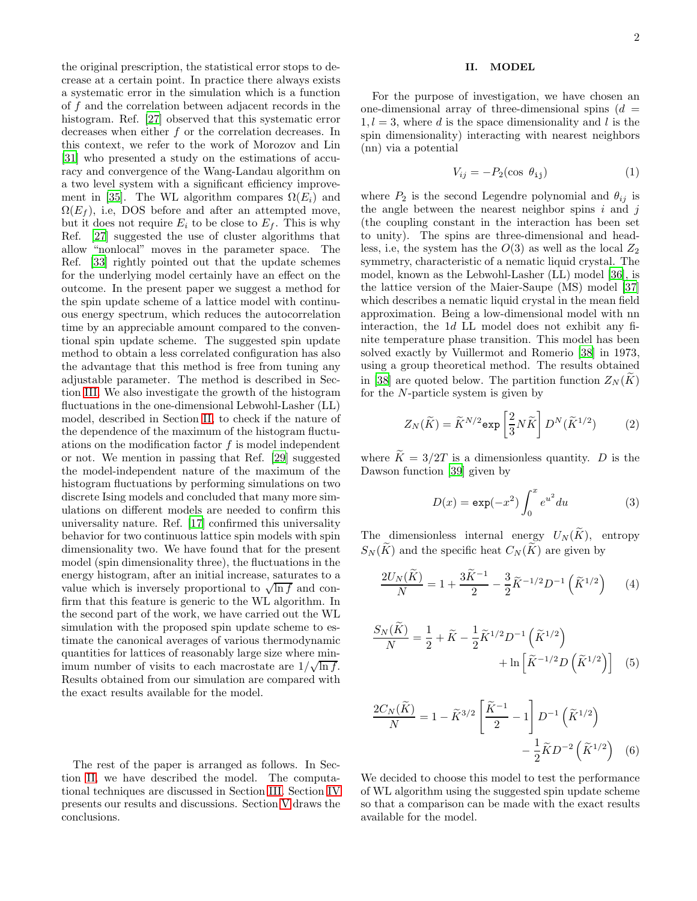the original prescription, the statistical error stops to decrease at a certain point. In practice there always exists a systematic error in the simulation which is a function of f and the correlation between adjacent records in the histogram. Ref. [\[27](#page-7-5)] observed that this systematic error decreases when either f or the correlation decreases. In this context, we refer to the work of Morozov and Lin [\[31\]](#page-7-8) who presented a study on the estimations of accuracy and convergence of the Wang-Landau algorithm on a two level system with a significant efficiency improve-ment in [\[35\]](#page-7-9). The WL algorithm compares  $\Omega(E_i)$  and  $\Omega(E_f)$ , i.e, DOS before and after an attempted move, but it does not require  $E_i$  to be close to  $E_f$ . This is why Ref. [\[27\]](#page-7-5) suggested the use of cluster algorithms that allow "nonlocal" moves in the parameter space. The Ref. [\[33](#page-7-2)] rightly pointed out that the update schemes for the underlying model certainly have an effect on the outcome. In the present paper we suggest a method for the spin update scheme of a lattice model with continuous energy spectrum, which reduces the autocorrelation time by an appreciable amount compared to the conventional spin update scheme. The suggested spin update method to obtain a less correlated configuration has also the advantage that this method is free from tuning any adjustable parameter. The method is described in Section [III.](#page-2-0) We also investigate the growth of the histogram fluctuations in the one-dimensional Lebwohl-Lasher (LL) model, described in Section [II,](#page-1-0) to check if the nature of the dependence of the maximum of the histogram fluctuations on the modification factor  $f$  is model independent or not. We mention in passing that Ref. [\[29](#page-7-6)] suggested the model-independent nature of the maximum of the histogram fluctuations by performing simulations on two discrete Ising models and concluded that many more simulations on different models are needed to confirm this universality nature. Ref. [\[17\]](#page-7-0) confirmed this universality behavior for two continuous lattice spin models with spin dimensionality two. We have found that for the present model (spin dimensionality three), the fluctuations in the energy histogram, after an initial increase, saturates to a value which is inversely proportional to  $\sqrt{\ln f}$  and confirm that this feature is generic to the WL algorithm. In the second part of the work, we have carried out the WL simulation with the proposed spin update scheme to estimate the canonical averages of various thermodynamic quantities for lattices of reasonably large size where minimum number of visits to each macrostate are  $1/\sqrt{\ln f}$ . Results obtained from our simulation are compared with the exact results available for the model.

The rest of the paper is arranged as follows. In Section [II,](#page-1-0) we have described the model. The computational techniques are discussed in Section [III.](#page-2-0) Section [IV](#page-3-0) presents our results and discussions. Section [V](#page-6-7) draws the conclusions.

## <span id="page-1-0"></span>II. MODEL

For the purpose of investigation, we have chosen an one-dimensional array of three-dimensional spins  $(d =$  $1, l = 3$ , where d is the space dimensionality and l is the spin dimensionality) interacting with nearest neighbors (nn) via a potential

<span id="page-1-1"></span>
$$
V_{ij} = -P_2(\cos \theta_{ij})\tag{1}
$$

where  $P_2$  is the second Legendre polynomial and  $\theta_{ij}$  is the angle between the nearest neighbor spins  $i$  and  $j$ (the coupling constant in the interaction has been set to unity). The spins are three-dimensional and headless, i.e, the system has the  $O(3)$  as well as the local  $Z_2$ symmetry, characteristic of a nematic liquid crystal. The model, known as the Lebwohl-Lasher (LL) model [\[36\]](#page-7-10), is the lattice version of the Maier-Saupe (MS) model [\[37](#page-7-11)] which describes a nematic liquid crystal in the mean field approximation. Being a low-dimensional model with nn interaction, the 1d LL model does not exhibit any finite temperature phase transition. This model has been solved exactly by Vuillermot and Romerio [\[38\]](#page-7-12) in 1973, using a group theoretical method. The results obtained in [\[38\]](#page-7-12) are quoted below. The partition function  $Z_N(K)$ for the N-particle system is given by

$$
Z_N(\widetilde{K}) = \widetilde{K}^{N/2} \exp\left[\frac{2}{3}N\widetilde{K}\right] D^N(\widetilde{K}^{1/2}) \tag{2}
$$

where  $\widetilde{K} = 3/2T$  is a dimensionless quantity. D is the Dawson function [\[39](#page-7-13)] given by

$$
D(x) = \exp(-x^2) \int_0^x e^{u^2} du \tag{3}
$$

The dimensionless internal energy  $U_N(\widetilde{K})$ , entropy  $S_N(\widetilde{K})$  and the specific heat  $C_N(\widetilde{K})$  are given by

$$
\frac{2U_N(\widetilde{K})}{N} = 1 + \frac{3\widetilde{K}^{-1}}{2} - \frac{3}{2}\widetilde{K}^{-1/2}D^{-1}(\widetilde{K}^{1/2})
$$
 (4)

$$
\frac{S_N(K)}{N} = \frac{1}{2} + \tilde{K} - \frac{1}{2} \tilde{K}^{1/2} D^{-1} \left( \tilde{K}^{1/2} \right) + \ln \left[ \tilde{K}^{-1/2} D \left( \tilde{K}^{1/2} \right) \right] \tag{5}
$$

$$
\frac{2C_N(\widetilde{K})}{N} = 1 - \widetilde{K}^{3/2} \left[ \frac{\widetilde{K}^{-1}}{2} - 1 \right] D^{-1} \left( \widetilde{K}^{1/2} \right) - \frac{1}{2} \widetilde{K} D^{-2} \left( \widetilde{K}^{1/2} \right) \quad (6)
$$

We decided to choose this model to test the performance of WL algorithm using the suggested spin update scheme so that a comparison can be made with the exact results available for the model.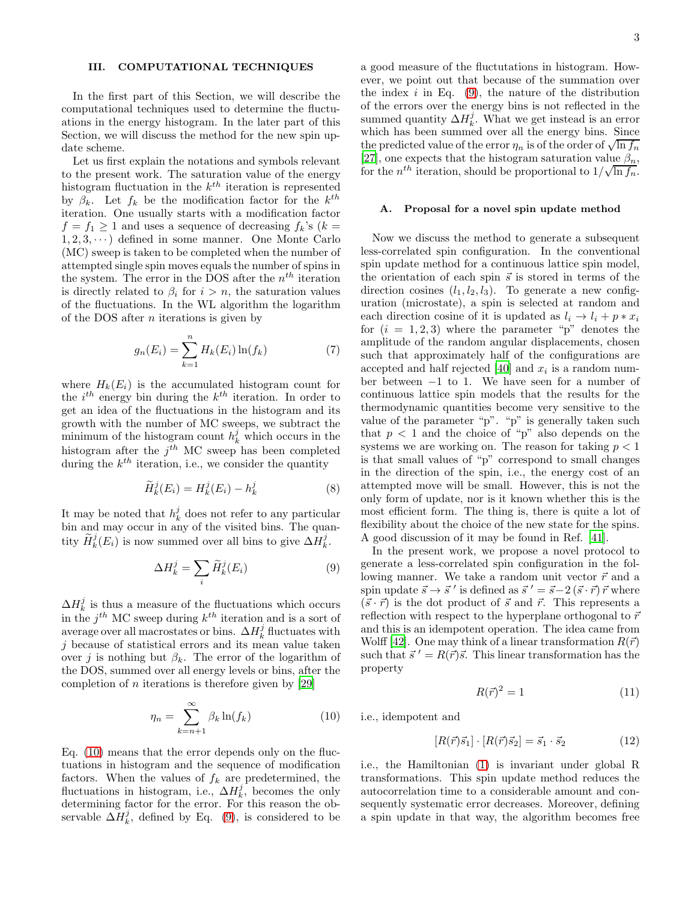#### <span id="page-2-0"></span>III. COMPUTATIONAL TECHNIQUES

In the first part of this Section, we will describe the computational techniques used to determine the fluctuations in the energy histogram. In the later part of this Section, we will discuss the method for the new spin update scheme.

Let us first explain the notations and symbols relevant to the present work. The saturation value of the energy histogram fluctuation in the  $k^{th}$  iteration is represented by  $\beta_k$ . Let  $f_k$  be the modification factor for the  $k^{th}$ iteration. One usually starts with a modification factor  $f = f_1 \ge 1$  and uses a sequence of decreasing  $f_k$ 's ( $k =$  $1, 2, 3, \dots$ ) defined in some manner. One Monte Carlo (MC) sweep is taken to be completed when the number of attempted single spin moves equals the number of spins in the system. The error in the DOS after the  $n^{th}$  iteration is directly related to  $\beta_i$  for  $i > n$ , the saturation values of the fluctuations. In the WL algorithm the logarithm of the DOS after  $n$  iterations is given by

$$
g_n(E_i) = \sum_{k=1}^{n} H_k(E_i) \ln(f_k)
$$
 (7)

where  $H_k(E_i)$  is the accumulated histogram count for the  $i^{th}$  energy bin during the  $k^{th}$  iteration. In order to get an idea of the fluctuations in the histogram and its growth with the number of MC sweeps, we subtract the minimum of the histogram count  $h_k^j$  which occurs in the histogram after the  $j<sup>th</sup>$  MC sweep has been completed during the  $k^{th}$  iteration, i.e., we consider the quantity

$$
\widetilde{H}_k^j(E_i) = H_k^j(E_i) - h_k^j \tag{8}
$$

It may be noted that  $h_k^j$  does not refer to any particular bin and may occur in any of the visited bins. The quantity  $\widetilde{H}_k^j(E_i)$  is now summed over all bins to give  $\Delta H_k^j$ .

<span id="page-2-2"></span>
$$
\Delta H_k^j = \sum_i \widetilde{H}_k^j(E_i) \tag{9}
$$

 $\Delta H_k^j$  is thus a measure of the fluctuations which occurs in the  $j^{th}$  MC sweep during  $k^{th}$  iteration and is a sort of average over all macrostates or bins.  $\Delta H_k^j$  fluctuates with j because of statistical errors and its mean value taken over j is nothing but  $\beta_k$ . The error of the logarithm of the DOS, summed over all energy levels or bins, after the completion of *n* iterations is therefore given by [\[29](#page-7-6)]

<span id="page-2-1"></span>
$$
\eta_n = \sum_{k=n+1}^{\infty} \beta_k \ln(f_k) \tag{10}
$$

Eq. [\(10\)](#page-2-1) means that the error depends only on the fluctuations in histogram and the sequence of modification factors. When the values of  $f_k$  are predetermined, the fluctuations in histogram, i.e.,  $\Delta H_k^j$ , becomes the only determining factor for the error. For this reason the observable  $\Delta H_k^j$ , defined by Eq. [\(9\)](#page-2-2), is considered to be

a good measure of the fluctutations in histogram. However, we point out that because of the summation over the index  $i$  in Eq. [\(9\)](#page-2-2), the nature of the distribution of the errors over the energy bins is not reflected in the summed quantity  $\Delta H_k^j$ . What we get instead is an error which has been summed over all the energy bins. Since the predicted value of the error  $\eta_n$  is of the order of  $\sqrt{\ln f_n}$ [\[27\]](#page-7-5), one expects that the histogram saturation value  $\beta_n$ , for the  $n^{th}$  iteration, should be proportional to  $1/\sqrt{\ln f_n}$ .

#### A. Proposal for a novel spin update method

Now we discuss the method to generate a subsequent less-correlated spin configuration. In the conventional spin update method for a continuous lattice spin model, the orientation of each spin  $\vec{s}$  is stored in terms of the direction cosines  $(l_1, l_2, l_3)$ . To generate a new configuration (microstate), a spin is selected at random and each direction cosine of it is updated as  $l_i \rightarrow l_i + p * x_i$ for  $(i = 1, 2, 3)$  where the parameter "p" denotes the amplitude of the random angular displacements, chosen such that approximately half of the configurations are accepted and half rejected [\[40](#page-7-14)] and  $x_i$  is a random number between −1 to 1. We have seen for a number of continuous lattice spin models that the results for the thermodynamic quantities become very sensitive to the value of the parameter "p". "p" is generally taken such that  $p < 1$  and the choice of "p" also depends on the systems we are working on. The reason for taking  $p < 1$ is that small values of "p" correspond to small changes in the direction of the spin, i.e., the energy cost of an attempted move will be small. However, this is not the only form of update, nor is it known whether this is the most efficient form. The thing is, there is quite a lot of flexibility about the choice of the new state for the spins. A good discussion of it may be found in Ref. [\[41\]](#page-7-15).

In the present work, we propose a novel protocol to generate a less-correlated spin configuration in the following manner. We take a random unit vector  $\vec{r}$  and a spin update  $\vec{s} \to \vec{s}'$  is defined as  $\vec{s}' = \vec{s} - 2(\vec{s} \cdot \vec{r}) \vec{r}$  where  $(\vec{s} \cdot \vec{r})$  is the dot product of  $\vec{s}$  and  $\vec{r}$ . This represents a reflection with respect to the hyperplane orthogonal to  $\vec{r}$ and this is an idempotent operation. The idea came from Wolff [\[42](#page-7-16)]. One may think of a linear transformation  $R(\vec{r})$ such that  $\vec{s}' = R(\vec{r})\vec{s}$ . This linear transformation has the property

$$
R(\vec{r})^2 = 1\tag{11}
$$

i.e., idempotent and

$$
[R(\vec{r})\vec{s}_1] \cdot [R(\vec{r})\vec{s}_2] = \vec{s}_1 \cdot \vec{s}_2 \tag{12}
$$

i.e., the Hamiltonian [\(1\)](#page-1-1) is invariant under global R transformations. This spin update method reduces the autocorrelation time to a considerable amount and consequently systematic error decreases. Moreover, defining a spin update in that way, the algorithm becomes free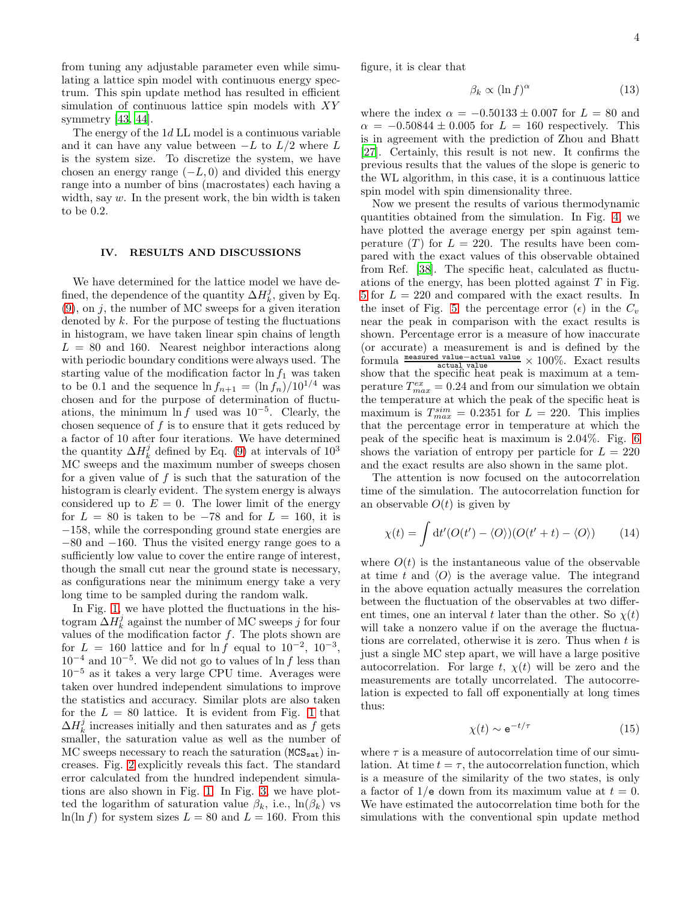from tuning any adjustable parameter even while simulating a lattice spin model with continuous energy spectrum. This spin update method has resulted in efficient simulation of continuous lattice spin models with XY symmetry [\[43](#page-7-17), [44](#page-7-18)].

The energy of the 1d LL model is a continuous variable and it can have any value between  $-L$  to  $L/2$  where L is the system size. To discretize the system, we have chosen an energy range  $(-L, 0)$  and divided this energy range into a number of bins (macrostates) each having a width, say  $w$ . In the present work, the bin width is taken to be 0.2.

### <span id="page-3-0"></span>IV. RESULTS AND DISCUSSIONS

We have determined for the lattice model we have defined, the dependence of the quantity  $\Delta H_k^j$ , given by Eq.  $(9)$ , on j, the number of MC sweeps for a given iteration denoted by  $k$ . For the purpose of testing the fluctuations in histogram, we have taken linear spin chains of length  $L = 80$  and 160. Nearest neighbor interactions along with periodic boundary conditions were always used. The starting value of the modification factor  $\ln f_1$  was taken to be 0.1 and the sequence  $\ln f_{n+1} = (\ln f_n)/10^{1/4}$  was chosen and for the purpose of determination of fluctuations, the minimum  $\ln f$  used was 10<sup>-5</sup>. Clearly, the chosen sequence of  $f$  is to ensure that it gets reduced by a factor of 10 after four iterations. We have determined the quantity  $\Delta H_k^j$  defined by Eq. [\(9\)](#page-2-2) at intervals of  $10^3$ MC sweeps and the maximum number of sweeps chosen for a given value of  $f$  is such that the saturation of the histogram is clearly evident. The system energy is always considered up to  $E = 0$ . The lower limit of the energy for  $L = 80$  is taken to be  $-78$  and for  $L = 160$ , it is −158, while the corresponding ground state energies are −80 and −160. Thus the visited energy range goes to a sufficiently low value to cover the entire range of interest, though the small cut near the ground state is necessary, as configurations near the minimum energy take a very long time to be sampled during the random walk.

In Fig. [1,](#page-4-0) we have plotted the fluctuations in the histogram  $\Delta H_k^j$  against the number of MC sweeps j for four values of the modification factor  $f$ . The plots shown are for  $L = 160$  lattice and for ln f equal to  $10^{-2}$ ,  $10^{-3}$ ,  $10^{-4}$  and  $10^{-5}$ . We did not go to values of ln f less than  $10^{-5}$  as it takes a very large CPU time. Averages were taken over hundred independent simulations to improve the statistics and accuracy. Similar plots are also taken for the  $L = 80$  lattice. It is evident from Fig. [1](#page-4-0) that  $\Delta H_k^j$  increases initially and then saturates and as f gets smaller, the saturation value as well as the number of  $MC$  sweeps necessary to reach the saturation  $(MCS_{sat})$  increases. Fig. [2](#page-4-1) explicitly reveals this fact. The standard error calculated from the hundred independent simulations are also shown in Fig. [1.](#page-4-0) In Fig. [3,](#page-4-2) we have plotted the logarithm of saturation value  $\beta_k$ , i.e.,  $\ln(\beta_k)$  vs  $ln(ln f)$  for system sizes  $L = 80$  and  $L = 160$ . From this

figure, it is clear that

$$
\beta_k \propto (\ln f)^{\alpha} \tag{13}
$$

where the index  $\alpha = -0.50133 \pm 0.007$  for  $L = 80$  and  $\alpha = -0.50844 \pm 0.005$  for  $L = 160$  respectively. This is in agreement with the prediction of Zhou and Bhatt [\[27\]](#page-7-5). Certainly, this result is not new. It confirms the previous results that the values of the slope is generic to the WL algorithm, in this case, it is a continuous lattice spin model with spin dimensionality three.

Now we present the results of various thermodynamic quantities obtained from the simulation. In Fig. [4,](#page-5-0) we have plotted the average energy per spin against temperature  $(T)$  for  $L = 220$ . The results have been compared with the exact values of this observable obtained from Ref. [\[38](#page-7-12)]. The specific heat, calculated as fluctuations of the energy, has been plotted against  $T$  in Fig. [5](#page-5-1) for  $L = 220$  and compared with the exact results. In the inset of Fig. [5,](#page-5-1) the percentage error  $(\epsilon)$  in the  $C_v$ near the peak in comparison with the exact results is shown. Percentage error is a measure of how inaccurate (or accurate) a measurement is and is defined by the formula measured value−actual value actual value × 100%. Exact results show that the specific heat peak is maximum at a temperature  $T_{max}^{ex} = 0.24$  and from our simulation we obtain the temperature at which the peak of the specific heat is maximum is  $T_{max}^{sim} = 0.2351$  for  $L = 220$ . This implies that the percentage error in temperature at which the peak of the specific heat is maximum is 2.04%. Fig. [6](#page-5-2) shows the variation of entropy per particle for  $L = 220$ and the exact results are also shown in the same plot.

The attention is now focused on the autocorrelation time of the simulation. The autocorrelation function for an observable  $O(t)$  is given by

$$
\chi(t) = \int dt' (O(t') - \langle O \rangle)(O(t' + t) - \langle O \rangle)
$$
 (14)

where  $O(t)$  is the instantaneous value of the observable at time t and  $\langle O \rangle$  is the average value. The integrand in the above equation actually measures the correlation between the fluctuation of the observables at two different times, one an interval t later than the other. So  $\chi(t)$ will take a nonzero value if on the average the fluctuations are correlated, otherwise it is zero. Thus when  $t$  is just a single MC step apart, we will have a large positive autocorrelation. For large t,  $\chi(t)$  will be zero and the measurements are totally uncorrelated. The autocorrelation is expected to fall off exponentially at long times thus:

$$
\chi(t) \sim e^{-t/\tau} \tag{15}
$$

where  $\tau$  is a measure of autocorrelation time of our simulation. At time  $t = \tau$ , the autocorrelation function, which is a measure of the similarity of the two states, is only a factor of  $1/e$  down from its maximum value at  $t = 0$ . We have estimated the autocorrelation time both for the simulations with the conventional spin update method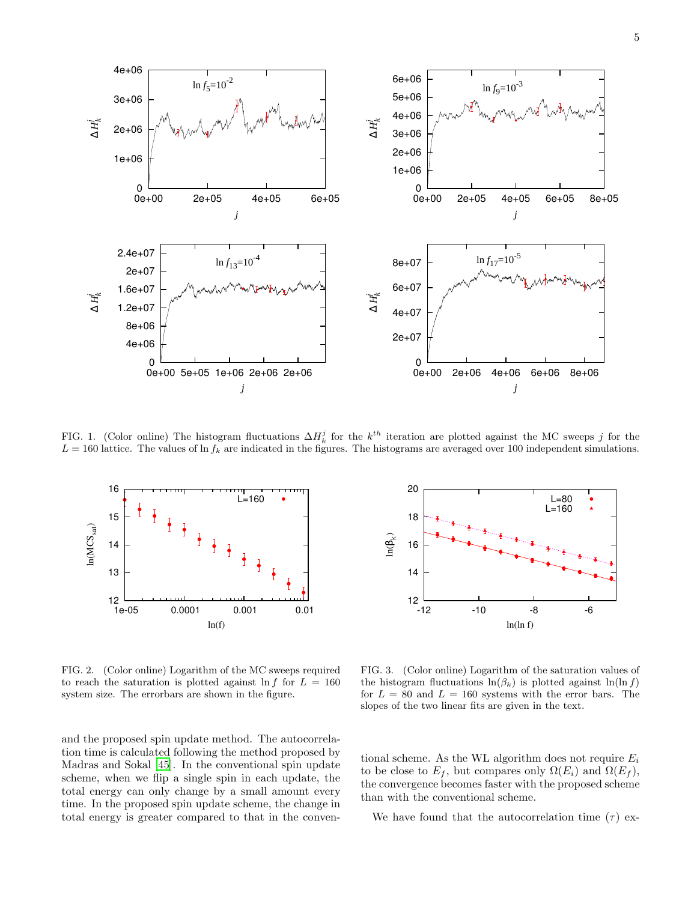

<span id="page-4-0"></span>FIG. 1. (Color online) The histogram fluctuations  $\Delta H_k^j$  for the  $k^{th}$  iteration are plotted against the MC sweeps j for the  $L = 160$  lattice. The values of ln  $f_k$  are indicated in the figures. The histograms are averaged over 100 independent simulations.



<span id="page-4-1"></span>FIG. 2. (Color online) Logarithm of the MC sweeps required to reach the saturation is plotted against  $\ln f$  for  $L = 160$ system size. The errorbars are shown in the figure.

and the proposed spin update method. The autocorrelation time is calculated following the method proposed by Madras and Sokal [\[45\]](#page-7-19). In the conventional spin update scheme, when we flip a single spin in each update, the total energy can only change by a small amount every time. In the proposed spin update scheme, the change in total energy is greater compared to that in the conven-



<span id="page-4-2"></span>FIG. 3. (Color online) Logarithm of the saturation values of the histogram fluctuations  $ln(\beta_k)$  is plotted against  $ln(ln f)$ for  $L = 80$  and  $L = 160$  systems with the error bars. The slopes of the two linear fits are given in the text.

tional scheme. As the WL algorithm does not require  $E_i$ to be close to  $E_f$ , but compares only  $\Omega(E_i)$  and  $\Omega(E_f)$ , the convergence becomes faster with the proposed scheme than with the conventional scheme.

We have found that the autocorrelation time  $(\tau)$  ex-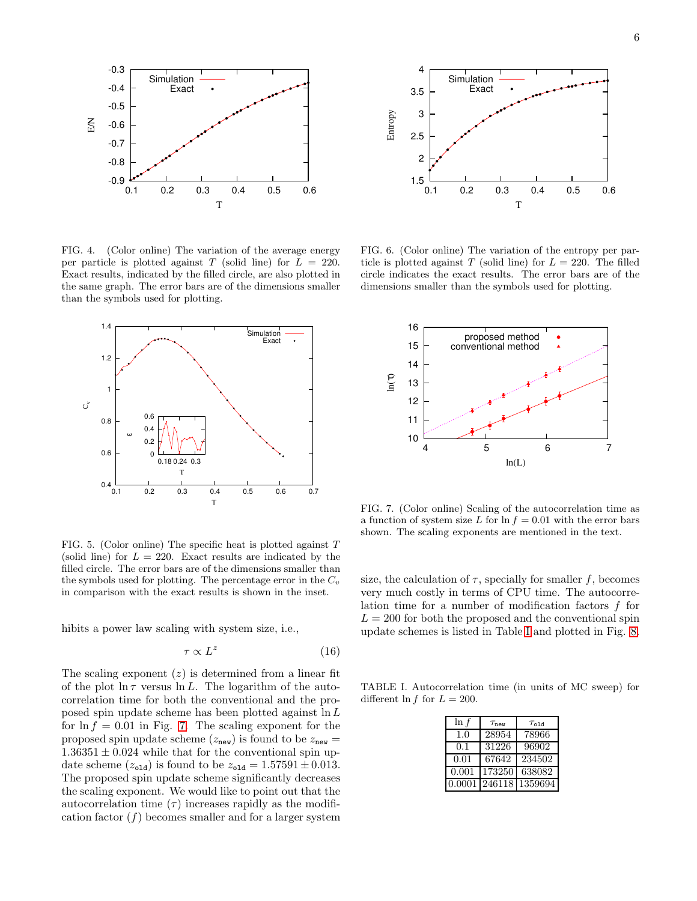

<span id="page-5-0"></span>FIG. 4. (Color online) The variation of the average energy per particle is plotted against T (solid line) for  $L = 220$ . Exact results, indicated by the filled circle, are also plotted in the same graph. The error bars are of the dimensions smaller than the symbols used for plotting.



<span id="page-5-1"></span>FIG. 5. (Color online) The specific heat is plotted against  $T$ (solid line) for  $L = 220$ . Exact results are indicated by the filled circle. The error bars are of the dimensions smaller than the symbols used for plotting. The percentage error in the  $C_v$ in comparison with the exact results is shown in the inset.

hibits a power law scaling with system size, i.e.,

$$
\tau \propto L^z \tag{16}
$$

The scaling exponent  $(z)$  is determined from a linear fit of the plot  $\ln \tau$  versus  $\ln L$ . The logarithm of the autocorrelation time for both the conventional and the proposed spin update scheme has been plotted against  $\ln L$ for  $\ln f = 0.01$  in Fig. [7.](#page-5-3) The scaling exponent for the proposed spin update scheme ( $z_{\text{new}}$ ) is found to be  $z_{\text{new}} =$  $1.36351 \pm 0.024$  while that for the conventional spin update scheme  $(z_{\text{old}})$  is found to be  $z_{\text{old}} = 1.57591 \pm 0.013$ . The proposed spin update scheme significantly decreases the scaling exponent. We would like to point out that the autocorrelation time  $(\tau)$  increases rapidly as the modification factor  $(f)$  becomes smaller and for a larger system



<span id="page-5-2"></span>FIG. 6. (Color online) The variation of the entropy per particle is plotted against T (solid line) for  $L = 220$ . The filled circle indicates the exact results. The error bars are of the dimensions smaller than the symbols used for plotting.



<span id="page-5-3"></span>FIG. 7. (Color online) Scaling of the autocorrelation time as a function of system size L for  $\ln f = 0.01$  with the error bars shown. The scaling exponents are mentioned in the text.

size, the calculation of  $\tau$ , specially for smaller f, becomes very much costly in terms of CPU time. The autocorrelation time for a number of modification factors  $f$  for  $L = 200$  for both the proposed and the conventional spin update schemes is listed in Table [I](#page-5-4) and plotted in Fig. [8.](#page-6-8)

TABLE I. Autocorrelation time (in units of MC sweep) for different  $\ln f$  for  $L = 200$ .

<span id="page-5-4"></span>

| $\ln f$      | $\tau_{\text{new}}$ | $\tau_{old}$ |
|--------------|---------------------|--------------|
| 1.0          | 28954               | 78966        |
| 0.1          | 31226               | 96902        |
| 0.01         | 67642               | 234502       |
| 0.001        | 173250              | 638082       |
| $\,0.0001\,$ | 246118              | 1359694      |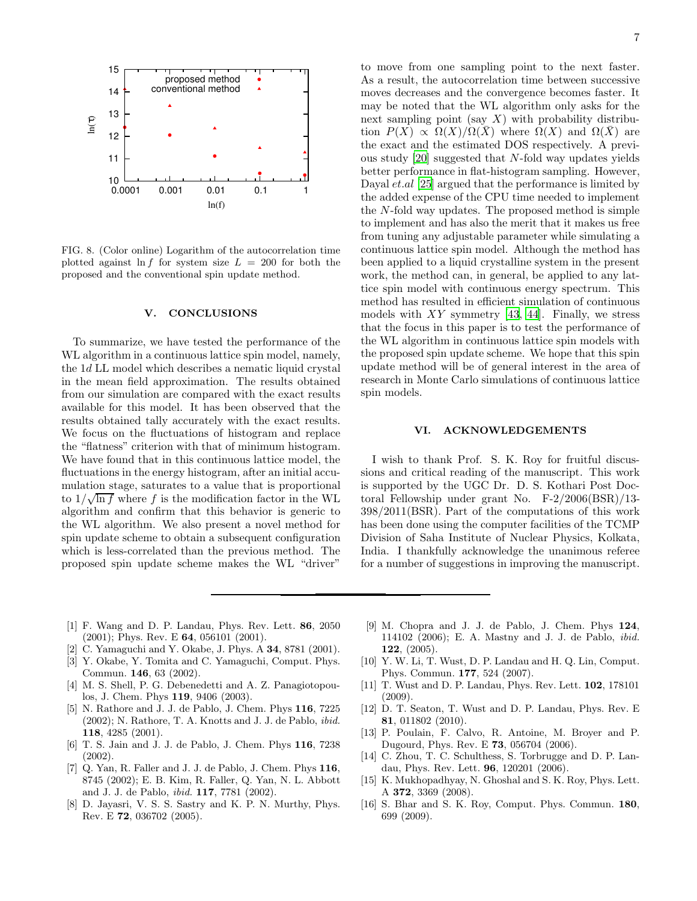

<span id="page-6-8"></span>FIG. 8. (Color online) Logarithm of the autocorrelation time plotted against  $\ln f$  for system size  $L = 200$  for both the proposed and the conventional spin update method.

## <span id="page-6-7"></span>V. CONCLUSIONS

To summarize, we have tested the performance of the WL algorithm in a continuous lattice spin model, namely, the 1d LL model which describes a nematic liquid crystal in the mean field approximation. The results obtained from our simulation are compared with the exact results available for this model. It has been observed that the results obtained tally accurately with the exact results. We focus on the fluctuations of histogram and replace the "flatness" criterion with that of minimum histogram. We have found that in this continuous lattice model, the fluctuations in the energy histogram, after an initial accumulation stage, saturates to a value that is proportional to  $1/\sqrt{\ln f}$  where f is the modification factor in the WL algorithm and confirm that this behavior is generic to the WL algorithm. We also present a novel method for spin update scheme to obtain a subsequent configuration which is less-correlated than the previous method. The proposed spin update scheme makes the WL "driver"

to move from one sampling point to the next faster. As a result, the autocorrelation time between successive moves decreases and the convergence becomes faster. It may be noted that the WL algorithm only asks for the next sampling point (say  $X$ ) with probability distribution  $P(X) \propto \Omega(X)/\Omega(X)$  where  $\Omega(X)$  and  $\Omega(\overline{X})$  are the exact and the estimated DOS respectively. A previous study [\[20](#page-7-20)] suggested that N-fold way updates yields better performance in flat-histogram sampling. However, Dayal et.al [\[25](#page-7-21)] argued that the performance is limited by the added expense of the CPU time needed to implement the N-fold way updates. The proposed method is simple to implement and has also the merit that it makes us free from tuning any adjustable parameter while simulating a continuous lattice spin model. Although the method has been applied to a liquid crystalline system in the present work, the method can, in general, be applied to any lattice spin model with continuous energy spectrum. This method has resulted in efficient simulation of continuous models with  $XY$  symmetry [\[43](#page-7-17), [44](#page-7-18)]. Finally, we stress that the focus in this paper is to test the performance of the WL algorithm in continuous lattice spin models with the proposed spin update scheme. We hope that this spin update method will be of general interest in the area of research in Monte Carlo simulations of continuous lattice spin models.

### VI. ACKNOWLEDGEMENTS

I wish to thank Prof. S. K. Roy for fruitful discussions and critical reading of the manuscript. This work is supported by the UGC Dr. D. S. Kothari Post Doctoral Fellowship under grant No. F-2/2006(BSR)/13- 398/2011(BSR). Part of the computations of this work has been done using the computer facilities of the TCMP Division of Saha Institute of Nuclear Physics, Kolkata, India. I thankfully acknowledge the unanimous referee for a number of suggestions in improving the manuscript.

- <span id="page-6-0"></span>[1] F. Wang and D. P. Landau, Phys. Rev. Lett. 86, 2050 (2001); Phys. Rev. E 64, 056101 (2001).
- <span id="page-6-1"></span>[2] C. Yamaguchi and Y. Okabe, J. Phys. A 34, 8781 (2001).
- [3] Y. Okabe, Y. Tomita and C. Yamaguchi, Comput. Phys. Commun. 146, 63 (2002).
- [4] M. S. Shell, P. G. Debenedetti and A. Z. Panagiotopoulos, J. Chem. Phys 119, 9406 (2003).
- [5] N. Rathore and J. J. de Pablo, J. Chem. Phys 116, 7225 (2002); N. Rathore, T. A. Knotts and J. J. de Pablo, ibid. 118, 4285 (2001).
- [6] T. S. Jain and J. J. de Pablo, J. Chem. Phys 116, 7238 (2002).
- <span id="page-6-3"></span>[7] Q. Yan, R. Faller and J. J. de Pablo, J. Chem. Phys 116. 8745 (2002); E. B. Kim, R. Faller, Q. Yan, N. L. Abbott and J. J. de Pablo, ibid. 117, 7781 (2002).
- [8] D. Jayasri, V. S. S. Sastry and K. P. N. Murthy, Phys. Rev. E 72, 036702 (2005).
- [9] M. Chopra and J. J. de Pablo, J. Chem. Phys 124, 114102 (2006); E. A. Mastny and J. J. de Pablo, ibid. 122, (2005).
- <span id="page-6-5"></span>[10] Y. W. Li, T. Wust, D. P. Landau and H. Q. Lin, Comput. Phys. Commun. 177, 524 (2007).
- [11] T. Wust and D. P. Landau, Phys. Rev. Lett. 102, 178101 (2009).
- <span id="page-6-2"></span>[12] D. T. Seaton, T. Wust and D. P. Landau, Phys. Rev. E 81, 011802 (2010).
- <span id="page-6-4"></span>[13] P. Poulain, F. Calvo, R. Antoine, M. Broyer and P. Dugourd, Phys. Rev. E 73, 056704 (2006).
- <span id="page-6-6"></span>[14] C. Zhou, T. C. Schulthess, S. Torbrugge and D. P. Landau, Phys. Rev. Lett. 96, 120201 (2006).
- [15] K. Mukhopadhyay, N. Ghoshal and S. K. Roy, Phys. Lett. A 372, 3369 (2008).
- [16] S. Bhar and S. K. Roy, Comput. Phys. Commun. 180, 699 (2009).